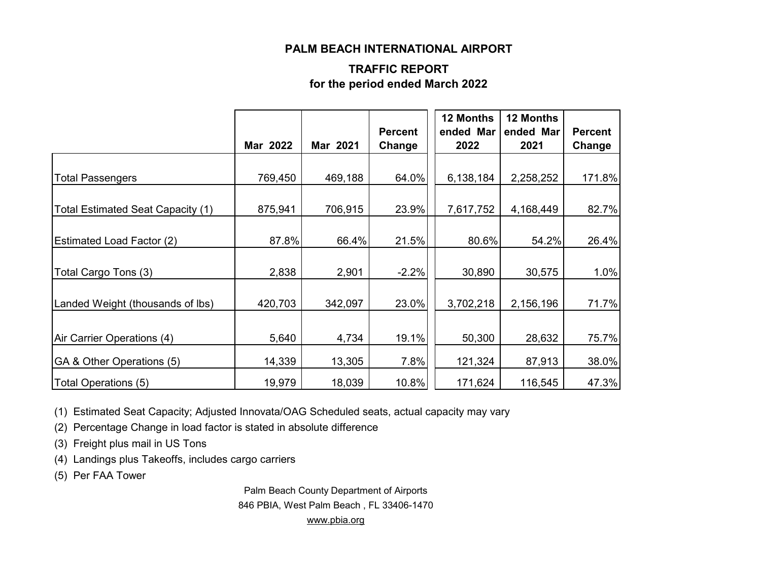#### **PALM BEACH INTERNATIONAL AIRPORT**

#### **TRAFFIC REPORT for the period ended March 2022**

|                                   | Mar 2022 | Mar 2021 | <b>Percent</b><br>Change | 12 Months<br>ended Mar<br>2022 | 12 Months<br>ended Mar<br>2021 | <b>Percent</b><br>Change |
|-----------------------------------|----------|----------|--------------------------|--------------------------------|--------------------------------|--------------------------|
| <b>Total Passengers</b>           | 769,450  | 469,188  | 64.0%                    | 6,138,184                      | 2,258,252                      | 171.8%                   |
| Total Estimated Seat Capacity (1) | 875,941  | 706,915  | 23.9%                    | 7,617,752                      | 4,168,449                      | 82.7%                    |
| <b>Estimated Load Factor (2)</b>  | 87.8%    | 66.4%    | 21.5%                    | 80.6%                          | 54.2%                          | 26.4%                    |
| Total Cargo Tons (3)              | 2,838    | 2,901    | $-2.2%$                  | 30,890                         | 30,575                         | 1.0%                     |
| Landed Weight (thousands of lbs)  | 420,703  | 342,097  | 23.0%                    | 3,702,218                      | 2,156,196                      | 71.7%                    |
| Air Carrier Operations (4)        | 5,640    | 4,734    | 19.1%                    | 50,300                         | 28,632                         | 75.7%                    |
| GA & Other Operations (5)         | 14,339   | 13,305   | 7.8%                     | 121,324                        | 87,913                         | 38.0%                    |
| Total Operations (5)              | 19,979   | 18,039   | 10.8%                    | 171,624                        | 116,545                        | 47.3%                    |

(1) Estimated Seat Capacity; Adjusted Innovata/OAG Scheduled seats, actual capacity may vary

(2) Percentage Change in load factor is stated in absolute difference

(3) Freight plus mail in US Tons

(4) Landings plus Takeoffs, includes cargo carriers

(5) Per FAA Tower

Palm Beach County Department of Airports 846 PBIA, West Palm Beach , FL 33406-1470 [www.pbia.org](http://www.pbia.org/)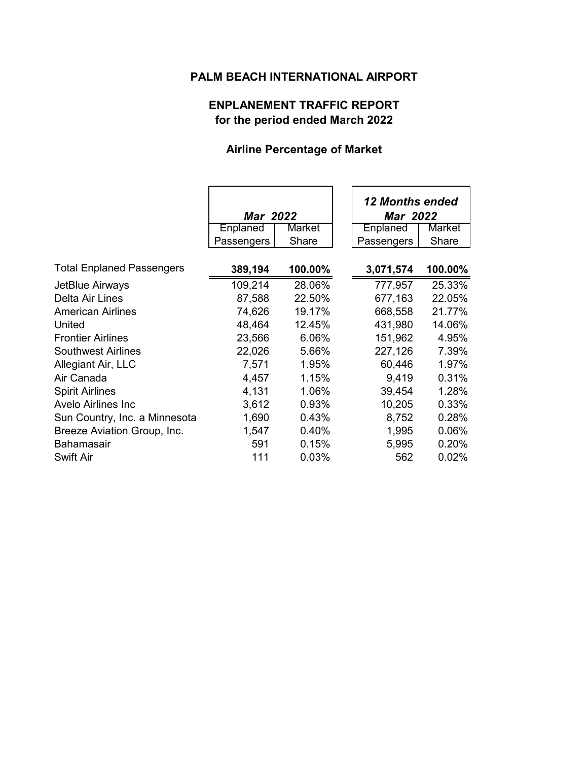## **PALM BEACH INTERNATIONAL AIRPORT**

### **ENPLANEMENT TRAFFIC REPORT for the period ended March 2022**

# **Airline Percentage of Market**

|                                  | <b>Mar</b> 2022 |         | <b>12 Months ended</b><br><b>Mar 2022</b> |         |
|----------------------------------|-----------------|---------|-------------------------------------------|---------|
|                                  | Enplaned        | Market  | Enplaned                                  | Market  |
|                                  | Passengers      | Share   | Passengers                                | Share   |
|                                  |                 |         |                                           |         |
| <b>Total Enplaned Passengers</b> | 389,194         | 100.00% | 3,071,574                                 | 100.00% |
| JetBlue Airways                  | 109,214         | 28.06%  | 777,957                                   | 25.33%  |
| Delta Air Lines                  | 87,588          | 22.50%  | 677,163                                   | 22.05%  |
| <b>American Airlines</b>         | 74,626          | 19.17%  | 668,558                                   | 21.77%  |
| United                           | 48,464          | 12.45%  | 431,980                                   | 14.06%  |
| <b>Frontier Airlines</b>         | 23,566          | 6.06%   | 151,962                                   | 4.95%   |
| <b>Southwest Airlines</b>        | 22,026          | 5.66%   | 227,126                                   | 7.39%   |
| Allegiant Air, LLC               | 7,571           | 1.95%   | 60,446                                    | 1.97%   |
| Air Canada                       | 4,457           | 1.15%   | 9,419                                     | 0.31%   |
| <b>Spirit Airlines</b>           | 4,131           | 1.06%   | 39,454                                    | 1.28%   |
| <b>Avelo Airlines Inc.</b>       | 3,612           | 0.93%   | 10,205                                    | 0.33%   |
| Sun Country, Inc. a Minnesota    | 1,690           | 0.43%   | 8,752                                     | 0.28%   |
| Breeze Aviation Group, Inc.      | 1,547           | 0.40%   | 1,995                                     | 0.06%   |
| Bahamasair                       | 591             | 0.15%   | 5,995                                     | 0.20%   |
| <b>Swift Air</b>                 | 111             | 0.03%   | 562                                       | 0.02%   |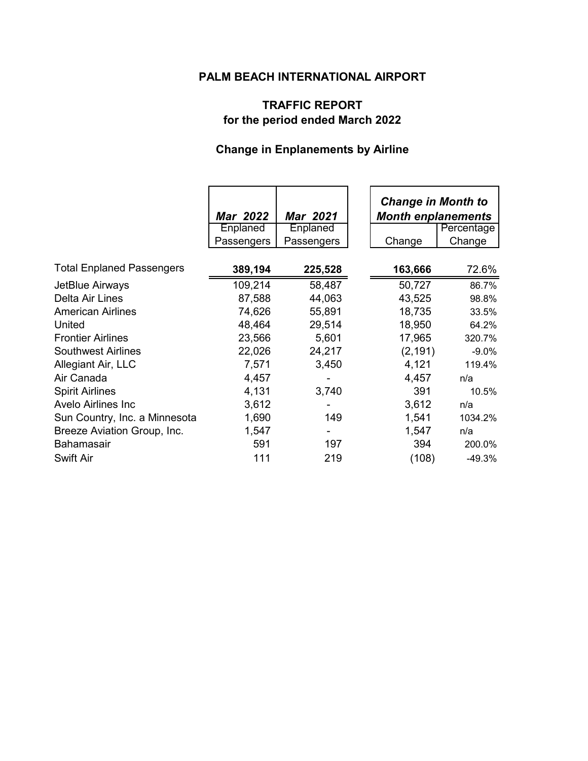## **PALM BEACH INTERNATIONAL AIRPORT**

### **TRAFFIC REPORT for the period ended March 2022**

# **Change in Enplanements by Airline**

|                                  | <b>Mar 2022</b> | <b>Mar 2021</b> | <b>Change in Month to</b><br><b>Month enplanements</b> |            |
|----------------------------------|-----------------|-----------------|--------------------------------------------------------|------------|
|                                  | Enplaned        | Enplaned        |                                                        | Percentage |
|                                  | Passengers      | Passengers      | Change                                                 | Change     |
| <b>Total Enplaned Passengers</b> | 389,194         | 225,528         | 163,666                                                | 72.6%      |
|                                  |                 |                 |                                                        |            |
| JetBlue Airways                  | 109,214         | 58,487          | 50,727                                                 | 86.7%      |
| Delta Air Lines                  | 87,588          | 44,063          | 43,525                                                 | 98.8%      |
| <b>American Airlines</b>         | 74,626          | 55,891          | 18,735                                                 | 33.5%      |
| United                           | 48,464          | 29,514          | 18,950                                                 | 64.2%      |
| <b>Frontier Airlines</b>         | 23,566          | 5,601           | 17,965                                                 | 320.7%     |
| <b>Southwest Airlines</b>        | 22,026          | 24,217          | (2, 191)                                               | $-9.0\%$   |
| Allegiant Air, LLC               | 7,571           | 3,450           | 4,121                                                  | 119.4%     |
| Air Canada                       | 4,457           |                 | 4,457                                                  | n/a        |
| <b>Spirit Airlines</b>           | 4,131           | 3,740           | 391                                                    | 10.5%      |
| <b>Avelo Airlines Inc</b>        | 3,612           |                 | 3,612                                                  | n/a        |
| Sun Country, Inc. a Minnesota    | 1,690           | 149             | 1,541                                                  | 1034.2%    |
| Breeze Aviation Group, Inc.      | 1,547           |                 | 1,547                                                  | n/a        |
| <b>Bahamasair</b>                | 591             | 197             | 394                                                    | 200.0%     |
| <b>Swift Air</b>                 | 111             | 219             | (108)                                                  | $-49.3%$   |